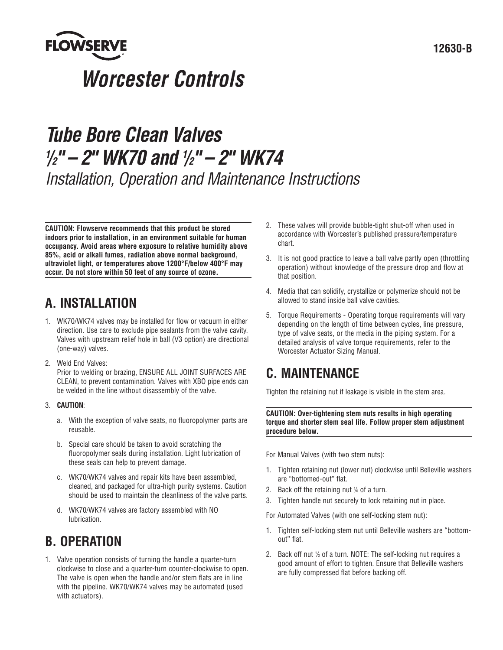

# *Tube Bore Clean Valves 1 /2" – 2" WK70 and 1 /2" – 2" WK74 Installation, Operation and Maintenance Instructions*

**CAUTION: Flowserve recommends that this product be stored indoors prior to installation, in an environment suitable for human occupancy. Avoid areas where exposure to relative humidity above 85%, acid or alkali fumes, radiation above normal background, ultraviolet light, or temperatures above 1200°F/below 400°F may occur. Do not store within 50 feet of any source of ozone.**

### **A. INSTALLATION**

- 1. WK70/WK74 valves may be installed for flow or vacuum in either direction. Use care to exclude pipe sealants from the valve cavity. Valves with upstream relief hole in ball (V3 option) are directional (one-way) valves.
- 2. Weld End Valves:

Prior to welding or brazing, ENSURE ALL JOINT SURFACES ARE CLEAN, to prevent contamination. Valves with XBO pipe ends can be welded in the line without disassembly of the valve.

- 3. **CAUTION**:
	- a. With the exception of valve seats, no fluoropolymer parts are reusable.
	- b. Special care should be taken to avoid scratching the fluoropolymer seals during installation. Light lubrication of these seals can help to prevent damage.
	- c. WK70/WK74 valves and repair kits have been assembled, cleaned, and packaged for ultra-high purity systems. Caution should be used to maintain the cleanliness of the valve parts.
	- d. WK70/WK74 valves are factory assembled with NO lubrication.

### **B. OPERATION**

1. Valve operation consists of turning the handle a quarter-turn clockwise to close and a quarter-turn counter-clockwise to open. The valve is open when the handle and/or stem flats are in line with the pipeline. WK70/WK74 valves may be automated (used with actuators).

- 2. These valves will provide bubble-tight shut-off when used in accordance with Worcester's published pressure/temperature chart.
- 3. It is not good practice to leave a ball valve partly open (throttling operation) without knowledge of the pressure drop and flow at that position.
- 4. Media that can solidify, crystallize or polymerize should not be allowed to stand inside ball valve cavities.
- 5. Torque Requirements Operating torque requirements will vary depending on the length of time between cycles, line pressure, type of valve seats, or the media in the piping system. For a detailed analysis of valve torque requirements, refer to the Worcester Actuator Sizing Manual.

### **C. MAINTENANCE**

Tighten the retaining nut if leakage is visible in the stem area.

**CAUTION: Over-tightening stem nuts results in high operating torque and shorter stem seal life. Follow proper stem adjustment procedure below.**

For Manual Valves (with two stem nuts):

- 1. Tighten retaining nut (lower nut) clockwise until Belleville washers are "bottomed-out" flat.
- 2. Back off the retaining nut 1 */*<sup>6</sup> of a turn.
- 3. Tighten handle nut securely to lock retaining nut in place.

For Automated Valves (with one self-locking stem nut):

- 1. Tighten self-locking stem nut until Belleville washers are "bottomout" flat.
- 2. Back off nut 1 */*<sup>3</sup> of a turn. NOTE: The self-locking nut requires a good amount of effort to tighten. Ensure that Belleville washers are fully compressed flat before backing off.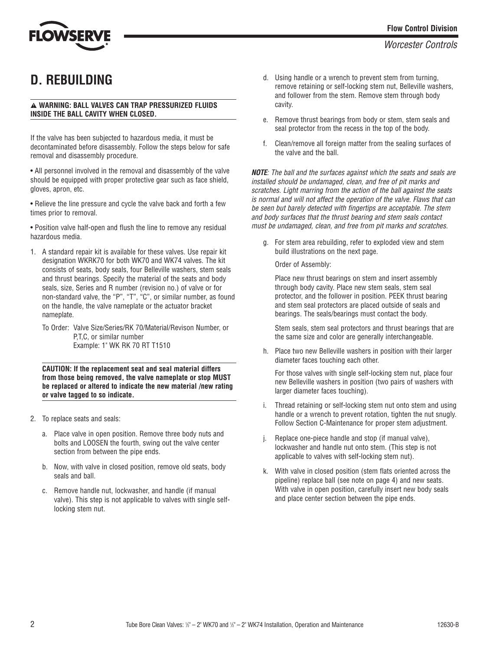## **D. REBUILDING**

### a **WARNING: BALL VALVES CAN TRAP PRESSURIZED FLUIDS INSIDE THE BALL CAVITY WHEN CLOSED.**

If the valve has been subjected to hazardous media, it must be decontaminated before disassembly. Follow the steps below for safe removal and disassembly procedure.

• All personnel involved in the removal and disassembly of the valve should be equipped with proper protective gear such as face shield, gloves, apron, etc.

• Relieve the line pressure and cycle the valve back and forth a few times prior to removal.

• Position valve half-open and flush the line to remove any residual hazardous media.

- 1. A standard repair kit is available for these valves. Use repair kit designation WKRK70 for both WK70 and WK74 valves. The kit consists of seats, body seals, four Belleville washers, stem seals and thrust bearings. Specify the material of the seats and body seals, size, Series and R number (revision no.) of valve or for non-standard valve, the "P", "T", "C", or similar number, as found on the handle, the valve nameplate or the actuator bracket nameplate.
	- To Order: Valve Size/Series/RK 70/Material/Revison Number, or P,T,C, or similar number Example: 1" WK RK 70 RT T1510

**CAUTION: If the replacement seat and seal material differs from those being removed, the valve nameplate or stop MUST be replaced or altered to indicate the new material /new rating or valve tagged to so indicate.** 

- 2. To replace seats and seals:
	- a. Place valve in open position. Remove three body nuts and bolts and LOOSEN the fourth, swing out the valve center section from between the pipe ends.
	- b. Now, with valve in closed position, remove old seats, body seals and ball.
	- c. Remove handle nut, lockwasher, and handle (if manual valve). This step is not applicable to valves with single selflocking stem nut.
- d. Using handle or a wrench to prevent stem from turning, remove retaining or self-locking stem nut, Belleville washers, and follower from the stem. Remove stem through body cavity.
- e. Remove thrust bearings from body or stem, stem seals and seal protector from the recess in the top of the body.
- f. Clean/remove all foreign matter from the sealing surfaces of the valve and the ball.

*NOTE: The ball and the surfaces against which the seats and seals are installed should be undamaged, clean, and free of pit marks and scratches. Light marring from the action of the ball against the seats is normal and will not affect the operation of the valve. Flaws that can be seen but barely detected with fingertips are acceptable. The stem and body surfaces that the thrust bearing and stem seals contact must be undamaged, clean, and free from pit marks and scratches.*

g. For stem area rebuilding, refer to exploded view and stem build illustrations on the next page.

Order of Assembly:

Place new thrust bearings on stem and insert assembly through body cavity. Place new stem seals, stem seal protector, and the follower in position. PEEK thrust bearing and stem seal protectors are placed outside of seals and bearings. The seals/bearings must contact the body.

Stem seals, stem seal protectors and thrust bearings that are the same size and color are generally interchangeable.

h. Place two new Belleville washers in position with their larger diameter faces touching each other.

For those valves with single self-locking stem nut, place four new Belleville washers in position (two pairs of washers with larger diameter faces touching).

- i. Thread retaining or self-locking stem nut onto stem and using handle or a wrench to prevent rotation, tighten the nut snugly. Follow Section C-Maintenance for proper stem adjustment.
- j. Replace one-piece handle and stop (if manual valve), lockwasher and handle nut onto stem. (This step is not applicable to valves with self-locking stem nut).
- k. With valve in closed position (stem flats oriented across the pipeline) replace ball (see note on page 4) and new seats. With valve in open position, carefully insert new body seals and place center section between the pipe ends.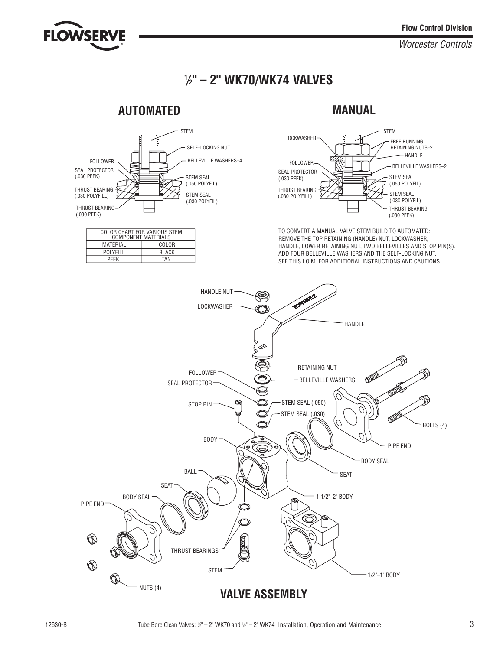

*Worcester Controls*

### **1** */***2" – 2" WK70/WK74 VALVES**

### **AUTOMATED MANUAL**



| COLOR CHART FOR VARIOUS STEM<br><b>COMPONENT MATERIALS</b> |              |  |
|------------------------------------------------------------|--------------|--|
| MATFRIAI                                                   | COLOR        |  |
| <b>POLYFILL</b>                                            | <b>BLACK</b> |  |
| <b>PFFK</b>                                                | TAN          |  |
|                                                            |              |  |



TO CONVERT A MANUAL VALVE STEM BUILD TO AUTOMATED: REMOVE THE TOP RETAINING (HANDLE) NUT, LOCKWASHER, HANDLE, LOWER RETAINING NUT, TWO BELLEVILLES AND STOP PIN(S). ADD FOUR BELLEVILLE WASHERS AND THE SELF-LOCKING NUT. SEE THIS I.O.M. FOR ADDITIONAL INSTRUCTIONS AND CAUTIONS.